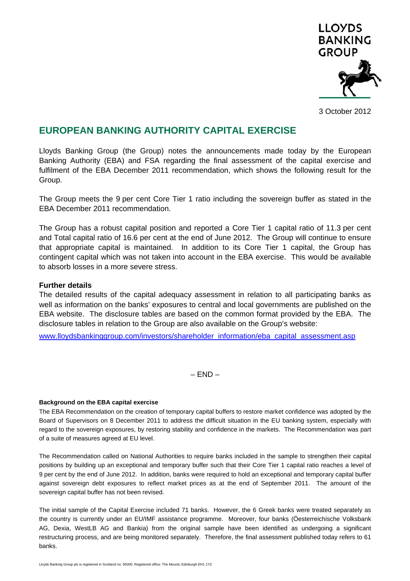

3 October 2012

# **EUROPEAN BANKING AUTHORITY CAPITAL EXERCISE**

Lloyds Banking Group (the Group) notes the announcements made today by the European Banking Authority (EBA) and FSA regarding the final assessment of the capital exercise and fulfilment of the EBA December 2011 recommendation, which shows the following result for the Group.

The Group meets the 9 per cent Core Tier 1 ratio including the sovereign buffer as stated in the EBA December 2011 recommendation.

The Group has a robust capital position and reported a Core Tier 1 capital ratio of 11.3 per cent and Total capital ratio of 16.6 per cent at the end of June 2012. The Group will continue to ensure that appropriate capital is maintained. In addition to its Core Tier 1 capital, the Group has contingent capital which was not taken into account in the EBA exercise. This would be available to absorb losses in a more severe stress.

#### **Further details**

The detailed results of the capital adequacy assessment in relation to all participating banks as well as information on the banks' exposures to central and local governments are published on the EBA website. The disclosure tables are based on the common format provided by the EBA. The disclosure tables in relation to the Group are also available on the Group's website:

www.lloydsbankinggroup.com/investors/shareholder\_information/eba\_capital\_assessment.asp

 $-$  END  $-$ 

#### **Background on the EBA capital exercise**

The EBA Recommendation on the creation of temporary capital buffers to restore market confidence was adopted by the Board of Supervisors on 8 December 2011 to address the difficult situation in the EU banking system, especially with regard to the sovereign exposures, by restoring stability and confidence in the markets. The Recommendation was part of a suite of measures agreed at EU level.

The Recommendation called on National Authorities to require banks included in the sample to strengthen their capital positions by building up an exceptional and temporary buffer such that their Core Tier 1 capital ratio reaches a level of 9 per cent by the end of June 2012. In addition, banks were required to hold an exceptional and temporary capital buffer against sovereign debt exposures to reflect market prices as at the end of September 2011. The amount of the sovereign capital buffer has not been revised.

The initial sample of the Capital Exercise included 71 banks. However, the 6 Greek banks were treated separately as the country is currently under an EU/IMF assistance programme. Moreover, four banks (Öesterreichische Volksbank AG, Dexia, WestLB AG and Bankia) from the original sample have been identified as undergoing a significant restructuring process, and are being monitored separately. Therefore, the final assessment published today refers to 61 banks.